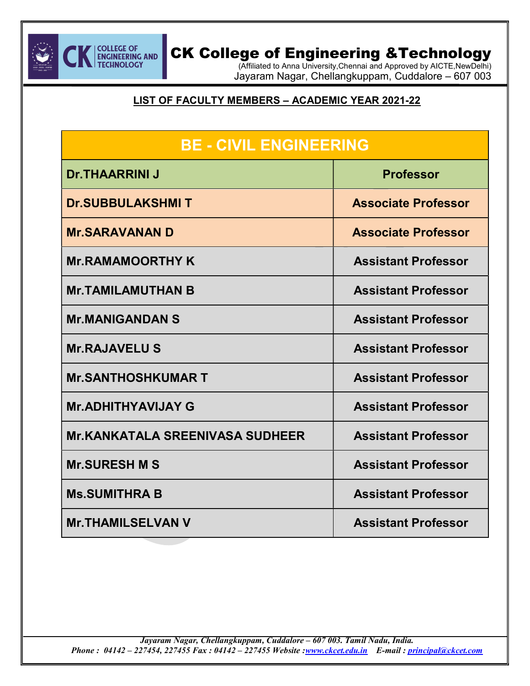

(Affiliated to Anna University,Chennai and Approved by AICTE,NewDelhi) Jayaram Nagar, Chellangkuppam, Cuddalore – 607 003

Ξ

#### LIST OF FACULTY MEMBERS – ACADEMIC YEAR 2021-22

| <b>BE - CIVIL ENGINEERING</b>          |                            |
|----------------------------------------|----------------------------|
| <b>Dr.THAARRINI J</b>                  | <b>Professor</b>           |
| <b>Dr.SUBBULAKSHMIT</b>                | <b>Associate Professor</b> |
| <b>Mr.SARAVANAN D</b>                  | <b>Associate Professor</b> |
| <b>Mr.RAMAMOORTHY K</b>                | <b>Assistant Professor</b> |
| <b>Mr.TAMILAMUTHAN B</b>               | <b>Assistant Professor</b> |
| <b>Mr.MANIGANDAN S</b>                 | <b>Assistant Professor</b> |
| <b>Mr.RAJAVELUS</b>                    | <b>Assistant Professor</b> |
| <b>Mr.SANTHOSHKUMAR T</b>              | <b>Assistant Professor</b> |
| <b>Mr.ADHITHYAVIJAY G</b>              | <b>Assistant Professor</b> |
| <b>Mr.KANKATALA SREENIVASA SUDHEER</b> | <b>Assistant Professor</b> |
| <b>Mr.SURESH M S</b>                   | <b>Assistant Professor</b> |
| <b>Ms.SUMITHRA B</b>                   | <b>Assistant Professor</b> |
| <b>Mr.THAMILSELVAN V</b>               | <b>Assistant Professor</b> |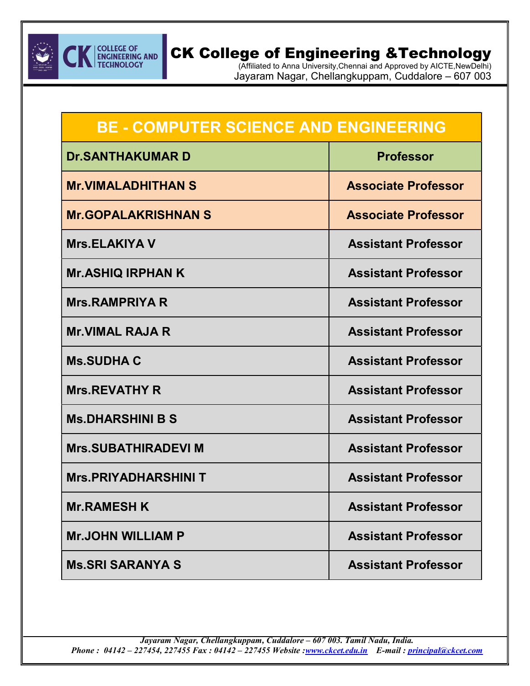

(Affiliated to Anna University,Chennai and Approved by AICTE,NewDelhi) Jayaram Nagar, Chellangkuppam, Cuddalore – 607 003

Ξ

| <b>BE - COMPUTER SCIENCE AND ENGINEERING</b> |                            |
|----------------------------------------------|----------------------------|
| <b>Dr.SANTHAKUMARD</b>                       | <b>Professor</b>           |
| <b>Mr.VIMALADHITHAN S</b>                    | <b>Associate Professor</b> |
| <b>Mr.GOPALAKRISHNAN S</b>                   | <b>Associate Professor</b> |
| <b>Mrs.ELAKIYA V</b>                         | <b>Assistant Professor</b> |
| <b>Mr.ASHIQ IRPHAN K</b>                     | <b>Assistant Professor</b> |
| <b>Mrs.RAMPRIYA R</b>                        | <b>Assistant Professor</b> |
| <b>Mr.VIMAL RAJA R</b>                       | <b>Assistant Professor</b> |
| <b>Ms.SUDHAC</b>                             | <b>Assistant Professor</b> |
| <b>Mrs.REVATHY R</b>                         | <b>Assistant Professor</b> |
| <b>Ms.DHARSHINI B S</b>                      | <b>Assistant Professor</b> |
| <b>Mrs.SUBATHIRADEVI M</b>                   | <b>Assistant Professor</b> |
| <b>Mrs.PRIYADHARSHINIT</b>                   | <b>Assistant Professor</b> |
| <b>Mr.RAMESH K</b>                           | <b>Assistant Professor</b> |
| <b>Mr.JOHN WILLIAM P</b>                     | <b>Assistant Professor</b> |
| <b>Ms.SRI SARANYA S</b>                      | <b>Assistant Professor</b> |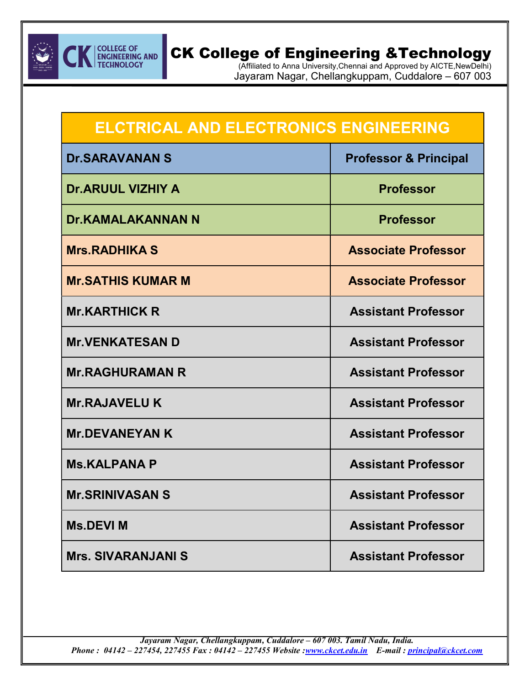

(Affiliated to Anna University,Chennai and Approved by AICTE,NewDelhi) Jayaram Nagar, Chellangkuppam, Cuddalore – 607 003

Ξ

| <b>ELCTRICAL AND ELECTRONICS ENGINEERING</b> |                                  |
|----------------------------------------------|----------------------------------|
| <b>Dr.SARAVANAN S</b>                        | <b>Professor &amp; Principal</b> |
| <b>Dr.ARUUL VIZHIY A</b>                     | <b>Professor</b>                 |
| <b>Dr.KAMALAKANNAN N</b>                     | <b>Professor</b>                 |
| <b>Mrs.RADHIKA S</b>                         | <b>Associate Professor</b>       |
| <b>Mr.SATHIS KUMAR M</b>                     | <b>Associate Professor</b>       |
| <b>Mr.KARTHICK R</b>                         | <b>Assistant Professor</b>       |
| <b>Mr.VENKATESAN D</b>                       | <b>Assistant Professor</b>       |
| <b>Mr.RAGHURAMAN R</b>                       | <b>Assistant Professor</b>       |
| <b>Mr.RAJAVELUK</b>                          | <b>Assistant Professor</b>       |
| <b>Mr.DEVANEYAN K</b>                        | <b>Assistant Professor</b>       |
| <b>Ms.KALPANA P</b>                          | <b>Assistant Professor</b>       |
| <b>Mr.SRINIVASAN S</b>                       | <b>Assistant Professor</b>       |
| <b>Ms.DEVI M</b>                             | <b>Assistant Professor</b>       |
| <b>Mrs. SIVARANJANI S</b>                    | <b>Assistant Professor</b>       |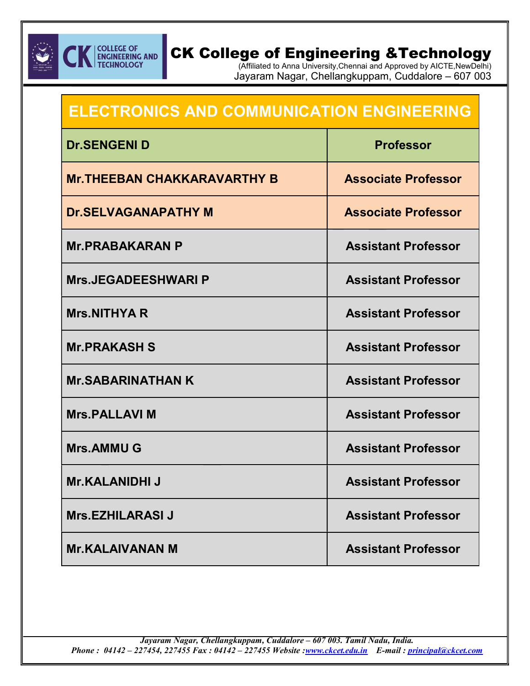

### **COLLEGE OF<br>ENGINEERING AND<br>TECHNOLOGY** CK College of Engineering &Technology

(Affiliated to Anna University,Chennai and Approved by AICTE,NewDelhi) Jayaram Nagar, Chellangkuppam, Cuddalore – 607 003

Ξ

| <b>ELECTRONICS AND COMMUNICATION ENGINEERING</b> |                            |
|--------------------------------------------------|----------------------------|
| <b>Dr.SENGENI D</b>                              | <b>Professor</b>           |
| <b>Mr. THEEBAN CHAKKARAVARTHY B</b>              | <b>Associate Professor</b> |
| <b>Dr.SELVAGANAPATHY M</b>                       | <b>Associate Professor</b> |
| <b>Mr.PRABAKARAN P</b>                           | <b>Assistant Professor</b> |
| <b>Mrs.JEGADEESHWARI P</b>                       | <b>Assistant Professor</b> |
| <b>Mrs.NITHYAR</b>                               | <b>Assistant Professor</b> |
| <b>Mr.PRAKASH S</b>                              | <b>Assistant Professor</b> |
| <b>Mr.SABARINATHAN K</b>                         | <b>Assistant Professor</b> |
| <b>Mrs.PALLAVIM</b>                              | <b>Assistant Professor</b> |
| <b>Mrs.AMMUG</b>                                 | <b>Assistant Professor</b> |
| <b>Mr.KALANIDHI J</b>                            | <b>Assistant Professor</b> |
| <b>Mrs.EZHILARASI J</b>                          | <b>Assistant Professor</b> |
| <b>Mr.KALAIVANAN M</b>                           | <b>Assistant Professor</b> |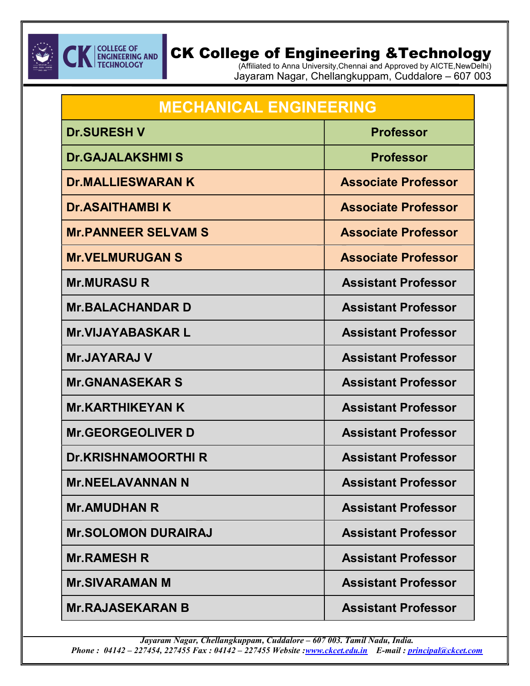

(Affiliated to Anna University,Chennai and Approved by AICTE,NewDelhi) Jayaram Nagar, Chellangkuppam, Cuddalore – 607 003

Ξ

| <b>MECHANICAL ENGINEERING</b> |                            |
|-------------------------------|----------------------------|
| <b>Dr.SURESH V</b>            | <b>Professor</b>           |
| <b>Dr.GAJALAKSHMIS</b>        | <b>Professor</b>           |
| <b>Dr.MALLIESWARAN K</b>      | <b>Associate Professor</b> |
| <b>Dr.ASAITHAMBIK</b>         | <b>Associate Professor</b> |
| <b>Mr.PANNEER SELVAM S</b>    | <b>Associate Professor</b> |
| <b>Mr.VELMURUGAN S</b>        | <b>Associate Professor</b> |
| <b>Mr.MURASU R</b>            | <b>Assistant Professor</b> |
| <b>Mr.BALACHANDAR D</b>       | <b>Assistant Professor</b> |
| <b>Mr.VIJAYABASKAR L</b>      | <b>Assistant Professor</b> |
| <b>Mr.JAYARAJ V</b>           | <b>Assistant Professor</b> |
| <b>Mr.GNANASEKAR S</b>        | <b>Assistant Professor</b> |
| <b>Mr.KARTHIKEYAN K</b>       | <b>Assistant Professor</b> |
| <b>Mr.GEORGEOLIVER D</b>      | <b>Assistant Professor</b> |
| <b>Dr.KRISHNAMOORTHI R</b>    | <b>Assistant Professor</b> |
| <b>Mr.NEELAVANNAN N</b>       | <b>Assistant Professor</b> |
| <b>Mr.AMUDHAN R</b>           | <b>Assistant Professor</b> |
| <b>Mr.SOLOMON DURAIRAJ</b>    | <b>Assistant Professor</b> |
| <b>Mr.RAMESH R</b>            | <b>Assistant Professor</b> |
| <b>Mr.SIVARAMAN M</b>         | <b>Assistant Professor</b> |
| <b>Mr.RAJASEKARAN B</b>       | <b>Assistant Professor</b> |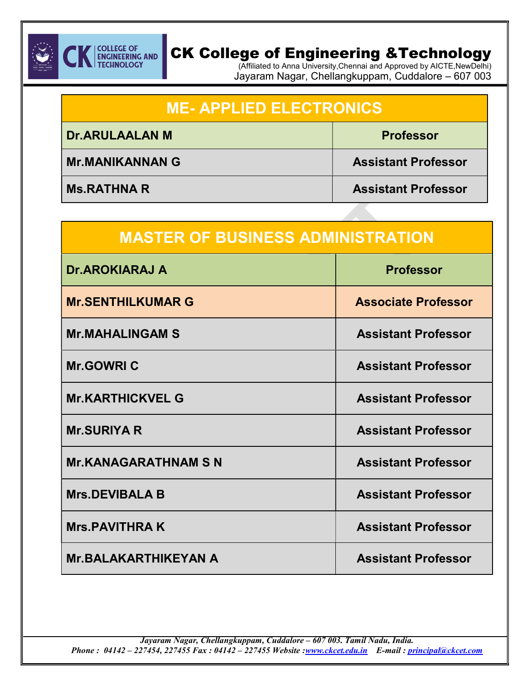

(Affiliated to Anna University,Chennai and Approved by AICTE,NewDelhi) Jayaram Nagar, Chellangkuppam, Cuddalore – 607 003

| <b>ME-APPLIED ELECTRONICS</b> |                            |
|-------------------------------|----------------------------|
| <b>Dr.ARULAALAN M</b>         | <b>Professor</b>           |
| <b>Mr.MANIKANNAN G</b>        | <b>Assistant Professor</b> |
| <b>Ms.RATHNAR</b>             | <b>Assistant Professor</b> |

| <b>MASTER OF BUSINESS ADMINISTRATION</b> |                            |
|------------------------------------------|----------------------------|
| <b>Dr.AROKIARAJ A</b>                    | <b>Professor</b>           |
| <b>Mr.SENTHILKUMAR G</b>                 | <b>Associate Professor</b> |
| <b>Mr.MAHALINGAM S</b>                   | <b>Assistant Professor</b> |
| <b>Mr.GOWRIC</b>                         | <b>Assistant Professor</b> |
| <b>Mr.KARTHICKVEL G</b>                  | <b>Assistant Professor</b> |
| <b>Mr.SURIYA R</b>                       | <b>Assistant Professor</b> |
| <b>Mr.KANAGARATHNAM S N</b>              | <b>Assistant Professor</b> |
| <b>Mrs.DEVIBALA B</b>                    | <b>Assistant Professor</b> |
| <b>Mrs.PAVITHRAK</b>                     | <b>Assistant Professor</b> |
| <b>Mr.BALAKARTHIKEYAN A</b>              | <b>Assistant Professor</b> |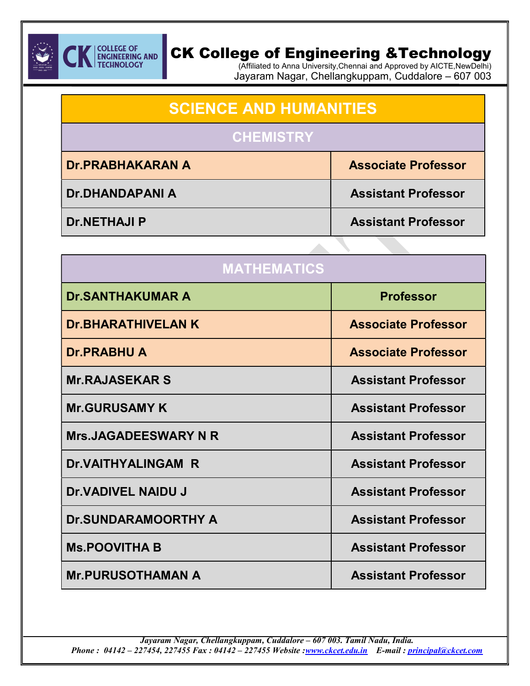

(Affiliated to Anna University,Chennai and Approved by AICTE,NewDelhi) Jayaram Nagar, Chellangkuppam, Cuddalore – 607 003

Ξ

| <b>SCIENCE AND HUMANITIES</b> |                            |
|-------------------------------|----------------------------|
| <b>CHEMISTRY</b>              |                            |
| <b>Dr.PRABHAKARAN A</b>       | <b>Associate Professor</b> |
| <b>Dr.DHANDAPANIA</b>         | <b>Assistant Professor</b> |
| <b>Dr.NETHAJI P</b>           | <b>Assistant Professor</b> |

| <b>MATHEMATICS</b>          |                            |
|-----------------------------|----------------------------|
| <b>Dr.SANTHAKUMAR A</b>     | <b>Professor</b>           |
| <b>Dr.BHARATHIVELAN K</b>   | <b>Associate Professor</b> |
| <b>Dr.PRABHU A</b>          | <b>Associate Professor</b> |
| <b>Mr.RAJASEKAR S</b>       | <b>Assistant Professor</b> |
| <b>Mr.GURUSAMY K</b>        | <b>Assistant Professor</b> |
| <b>Mrs.JAGADEESWARY N R</b> | <b>Assistant Professor</b> |
| <b>Dr.VAITHYALINGAM R</b>   | <b>Assistant Professor</b> |
| <b>Dr.VADIVEL NAIDU J</b>   | <b>Assistant Professor</b> |
| <b>Dr.SUNDARAMOORTHY A</b>  | <b>Assistant Professor</b> |
| <b>Ms.POOVITHA B</b>        | <b>Assistant Professor</b> |
| <b>Mr.PURUSOTHAMAN A</b>    | <b>Assistant Professor</b> |